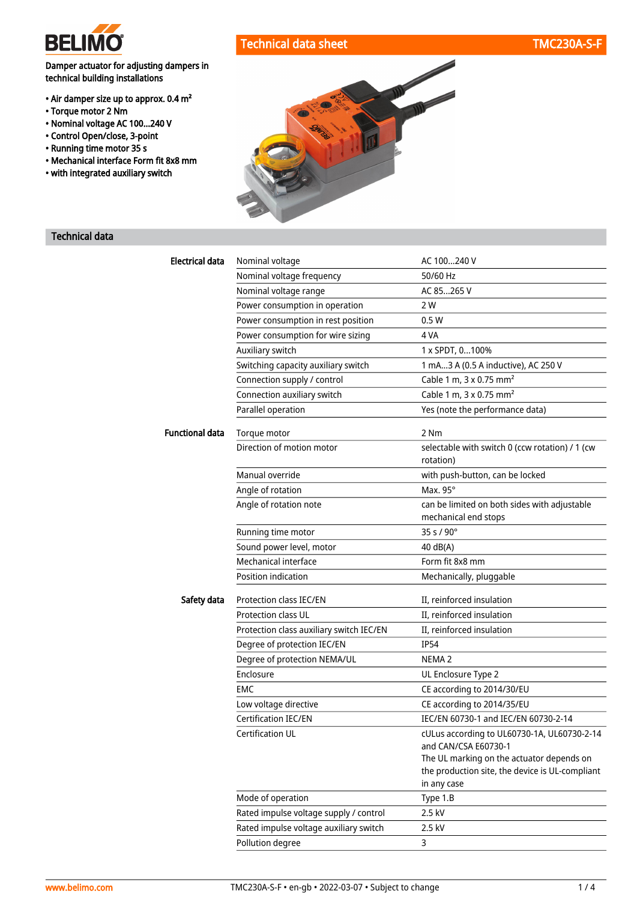

# Technical data sheet TMC230A-S-F

# Damper actuator for adjusting dampers in technical building installations

- Air damper size up to approx. 0.4 m²
- Torque motor 2 Nm
- Nominal voltage AC 100...240 V
- Control Open/close, 3-point
- Running time motor 35 s
- Mechanical interface Form fit 8x8 mm
- with integrated auxiliary switch



# Technical data

| Electrical data | Nominal voltage                          | AC 100240 V                                                                                                 |
|-----------------|------------------------------------------|-------------------------------------------------------------------------------------------------------------|
|                 | Nominal voltage frequency                | 50/60 Hz                                                                                                    |
|                 | Nominal voltage range                    | AC 85265 V                                                                                                  |
|                 | Power consumption in operation           | 2 W                                                                                                         |
|                 | Power consumption in rest position       | 0.5W                                                                                                        |
|                 | Power consumption for wire sizing        | 4 VA                                                                                                        |
|                 | Auxiliary switch                         | 1 x SPDT, 0100%                                                                                             |
|                 | Switching capacity auxiliary switch      | 1 mA3 A (0.5 A inductive), AC 250 V                                                                         |
|                 | Connection supply / control              | Cable 1 m, 3 x 0.75 mm <sup>2</sup>                                                                         |
|                 | Connection auxiliary switch              | Cable 1 m, 3 x 0.75 mm <sup>2</sup>                                                                         |
|                 | Parallel operation                       | Yes (note the performance data)                                                                             |
| Functional data | Torque motor                             | 2 Nm                                                                                                        |
|                 | Direction of motion motor                | selectable with switch 0 (ccw rotation) / 1 (cw<br>rotation)                                                |
|                 | Manual override                          | with push-button, can be locked                                                                             |
|                 | Angle of rotation                        | Max. 95°                                                                                                    |
|                 | Angle of rotation note                   | can be limited on both sides with adjustable                                                                |
|                 |                                          | mechanical end stops                                                                                        |
|                 | Running time motor                       | 35 s / 90°                                                                                                  |
|                 | Sound power level, motor                 | 40 dB(A)                                                                                                    |
|                 | Mechanical interface                     | Form fit 8x8 mm                                                                                             |
|                 | Position indication                      | Mechanically, pluggable                                                                                     |
| Safety data     | Protection class IEC/EN                  | II, reinforced insulation                                                                                   |
|                 | <b>Protection class UL</b>               | II, reinforced insulation                                                                                   |
|                 | Protection class auxiliary switch IEC/EN | II, reinforced insulation                                                                                   |
|                 | Degree of protection IEC/EN              | <b>IP54</b>                                                                                                 |
|                 | Degree of protection NEMA/UL             | NEMA <sub>2</sub>                                                                                           |
|                 | Enclosure                                | UL Enclosure Type 2                                                                                         |
|                 | EMC                                      | CE according to 2014/30/EU                                                                                  |
|                 | Low voltage directive                    | CE according to 2014/35/EU                                                                                  |
|                 | Certification IEC/EN                     | IEC/EN 60730-1 and IEC/EN 60730-2-14                                                                        |
|                 | Certification UL                         | cULus according to UL60730-1A, UL60730-2-14<br>and CAN/CSA E60730-1                                         |
|                 |                                          | The UL marking on the actuator depends on<br>the production site, the device is UL-compliant<br>in any case |
|                 | Mode of operation                        | Type 1.B                                                                                                    |
|                 | Rated impulse voltage supply / control   | 2.5 kV                                                                                                      |
|                 | Rated impulse voltage auxiliary switch   | 2.5 kV                                                                                                      |
|                 | Pollution degree                         | 3                                                                                                           |
|                 |                                          |                                                                                                             |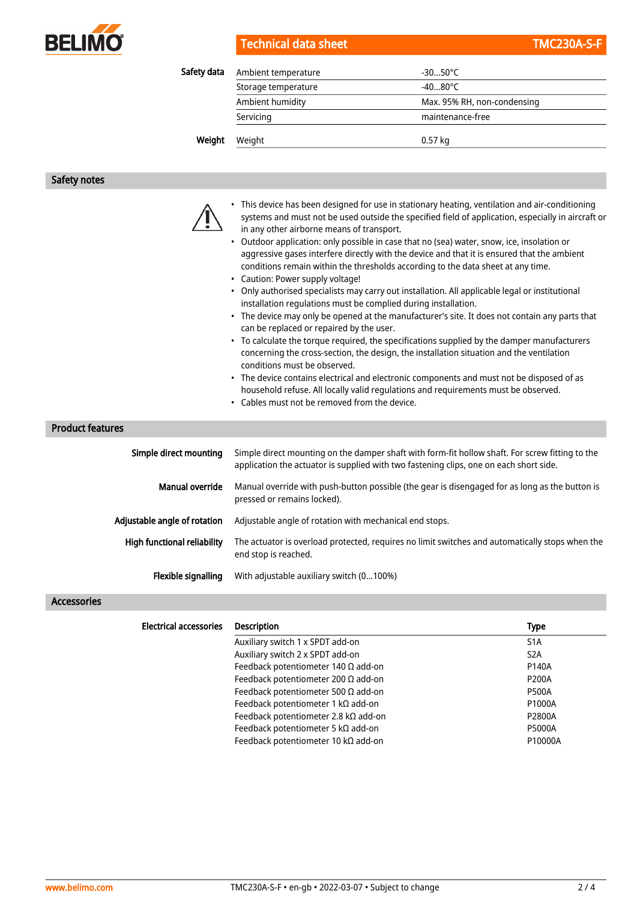

Technical data sheet TMC230A-S-F

| Weight      | Weight              | $0.57$ kg                   |  |
|-------------|---------------------|-----------------------------|--|
|             | Servicing           | maintenance-free            |  |
|             | Ambient humidity    | Max. 95% RH, non-condensing |  |
|             | Storage temperature | $-4080^{\circ}$ C           |  |
| Safety data | Ambient temperature | $-3050^{\circ}$ C           |  |

## Safety notes

- This device has been designed for use in stationary heating, ventilation and air-conditioning systems and must not be used outside the specified field of application, especially in aircraft or in any other airborne means of transport.
- Outdoor application: only possible in case that no (sea) water, snow, ice, insolation or aggressive gases interfere directly with the device and that it is ensured that the ambient conditions remain within the thresholds according to the data sheet at any time.
- Caution: Power supply voltage!
- Only authorised specialists may carry out installation. All applicable legal or institutional installation regulations must be complied during installation.
- The device may only be opened at the manufacturer's site. It does not contain any parts that can be replaced or repaired by the user.
- To calculate the torque required, the specifications supplied by the damper manufacturers concerning the cross-section, the design, the installation situation and the ventilation conditions must be observed.
- The device contains electrical and electronic components and must not be disposed of as household refuse. All locally valid regulations and requirements must be observed.
- Cables must not be removed from the device.

# Product features

| Simple direct mounting       | Simple direct mounting on the damper shaft with form-fit hollow shaft. For screw fitting to the<br>application the actuator is supplied with two fastening clips, one on each short side. |
|------------------------------|-------------------------------------------------------------------------------------------------------------------------------------------------------------------------------------------|
| Manual override              | Manual override with push-button possible (the gear is disengaged for as long as the button is<br>pressed or remains locked).                                                             |
| Adjustable angle of rotation | Adjustable angle of rotation with mechanical end stops.                                                                                                                                   |
| High functional reliability  | The actuator is overload protected, requires no limit switches and automatically stops when the<br>end stop is reached.                                                                   |
| Flexible signalling          | With adjustable auxiliary switch (0100%)                                                                                                                                                  |

### Accessories

| <b>Electrical accessories</b> | <b>Description</b>                         | <b>Type</b>      |
|-------------------------------|--------------------------------------------|------------------|
|                               | Auxiliary switch 1 x SPDT add-on           | S <sub>1</sub> A |
|                               | Auxiliary switch 2 x SPDT add-on           | S <sub>2</sub> A |
|                               | Feedback potentiometer 140 $\Omega$ add-on | P140A            |
|                               | Feedback potentiometer 200 $\Omega$ add-on | <b>P200A</b>     |
|                               | Feedback potentiometer 500 $\Omega$ add-on | <b>P500A</b>     |
|                               | Feedback potentiometer 1 k $\Omega$ add-on | P1000A           |
|                               | Feedback potentiometer 2.8 kΩ add-on       | P2800A           |
|                               | Feedback potentiometer 5 k $\Omega$ add-on | <b>P5000A</b>    |
|                               | Feedback potentiometer 10 kΩ add-on        | P10000A          |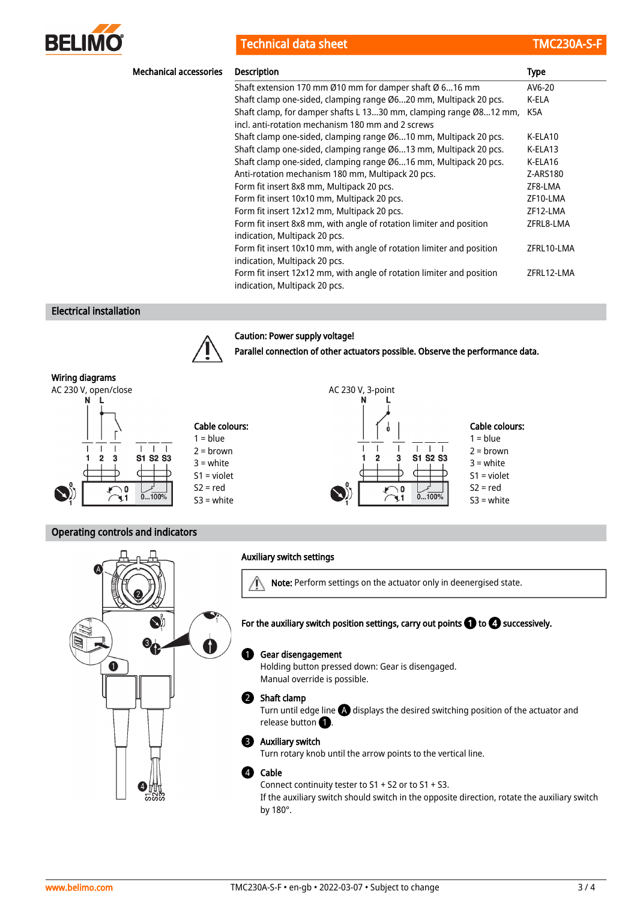

Technical data sheet TMC230A-S-F

| <b>Mechanical accessories</b> | <b>Description</b>                                                    | <b>Type</b> |
|-------------------------------|-----------------------------------------------------------------------|-------------|
|                               | Shaft extension 170 mm Ø10 mm for damper shaft Ø 616 mm               | AV6-20      |
|                               | Shaft clamp one-sided, clamping range Ø620 mm, Multipack 20 pcs.      | K-ELA       |
|                               | Shaft clamp, for damper shafts L 1330 mm, clamping range Ø812 mm,     | K5A         |
|                               | incl. anti-rotation mechanism 180 mm and 2 screws                     |             |
|                               | Shaft clamp one-sided, clamping range Ø610 mm, Multipack 20 pcs.      | K-ELA10     |
|                               | Shaft clamp one-sided, clamping range Ø613 mm, Multipack 20 pcs.      | K-ELA13     |
|                               | Shaft clamp one-sided, clamping range Ø616 mm, Multipack 20 pcs.      | K-ELA16     |
|                               | Anti-rotation mechanism 180 mm, Multipack 20 pcs.                     | Z-ARS180    |
|                               | Form fit insert 8x8 mm, Multipack 20 pcs.                             | ZF8-LMA     |
|                               | Form fit insert 10x10 mm, Multipack 20 pcs.                           | ZF10-LMA    |
|                               | Form fit insert 12x12 mm, Multipack 20 pcs.                           | ZF12-LMA    |
|                               | Form fit insert 8x8 mm, with angle of rotation limiter and position   | ZFRL8-LMA   |
|                               | indication, Multipack 20 pcs.                                         |             |
|                               | Form fit insert 10x10 mm, with angle of rotation limiter and position | ZFRL10-LMA  |
|                               | indication, Multipack 20 pcs.                                         |             |
|                               | Form fit insert 12x12 mm, with angle of rotation limiter and position | ZFRL12-LMA  |
|                               | indication, Multipack 20 pcs.                                         |             |

# Electrical installation



# Caution: Power supply voltage!

Parallel connection of other actuators possible. Observe the performance data.



# Operating controls and indicators

|              | <b>Auxiliary switch settings</b>                                                                                                                                                      |
|--------------|---------------------------------------------------------------------------------------------------------------------------------------------------------------------------------------|
|              | Note: Perform settings on the actuator only in deenergised state.                                                                                                                     |
|              | For the auxiliary switch position settings, carry out points $\bigcirc$ to $\bigcirc$ successively.                                                                                   |
| $\mathbf{1}$ | Gear disengagement<br>$\mathbf{1}$<br>Holding button pressed down: Gear is disengaged.<br>Manual override is possible.                                                                |
|              | Shaft clamp<br>Turn until edge line $\bigoplus$ displays the desired switching position of the actuator and<br>release button <b>1</b>                                                |
|              | <b>Auxiliary switch</b><br>3<br>Turn rotary knob until the arrow points to the vertical line.                                                                                         |
|              | Cable<br>Connect continuity tester to $S1 + S2$ or to $S1 + S3$ .<br>If the auxiliary switch should switch in the opposite direction, rotate the auxiliary switch<br>by $180^\circ$ . |